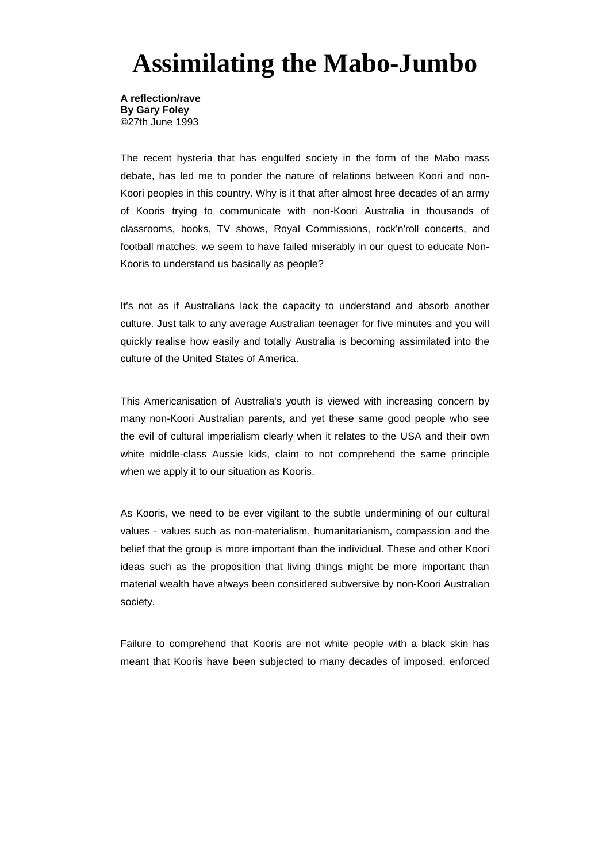## **Assimilating the Mabo-Jumbo**

**A reflection/rave By Gary Foley** ©27th June 1993

The recent hysteria that has engulfed society in the form of the Mabo mass debate, has led me to ponder the nature of relations between Koori and non-Koori peoples in this country. Why is it that after almost hree decades of an army of Kooris trying to communicate with non-Koori Australia in thousands of classrooms, books, TV shows, Royal Commissions, rock'n'roll concerts, and football matches, we seem to have failed miserably in our quest to educate Non-Kooris to understand us basically as people?

It's not as if Australians lack the capacity to understand and absorb another culture. Just talk to any average Australian teenager for five minutes and you will quickly realise how easily and totally Australia is becoming assimilated into the culture of the United States of America.

This Americanisation of Australia's youth is viewed with increasing concern by many non-Koori Australian parents, and yet these same good people who see the evil of cultural imperialism clearly when it relates to the USA and their own white middle-class Aussie kids, claim to not comprehend the same principle when we apply it to our situation as Kooris.

As Kooris, we need to be ever vigilant to the subtle undermining of our cultural values - values such as non-materialism, humanitarianism, compassion and the belief that the group is more important than the individual. These and other Koori ideas such as the proposition that living things might be more important than material wealth have always been considered subversive by non-Koori Australian society.

Failure to comprehend that Kooris are not white people with a black skin has meant that Kooris have been subjected to many decades of imposed, enforced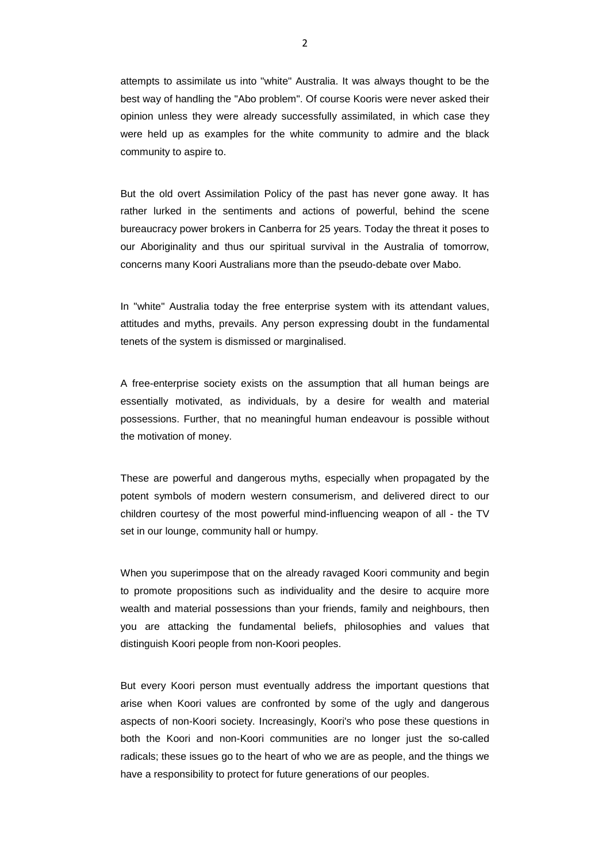attempts to assimilate us into "white" Australia. It was always thought to be the best way of handling the "Abo problem". Of course Kooris were never asked their opinion unless they were already successfully assimilated, in which case they were held up as examples for the white community to admire and the black community to aspire to.

But the old overt Assimilation Policy of the past has never gone away. It has rather lurked in the sentiments and actions of powerful, behind the scene bureaucracy power brokers in Canberra for 25 years. Today the threat it poses to our Aboriginality and thus our spiritual survival in the Australia of tomorrow, concerns many Koori Australians more than the pseudo-debate over Mabo.

In "white" Australia today the free enterprise system with its attendant values, attitudes and myths, prevails. Any person expressing doubt in the fundamental tenets of the system is dismissed or marginalised.

A free-enterprise society exists on the assumption that all human beings are essentially motivated, as individuals, by a desire for wealth and material possessions. Further, that no meaningful human endeavour is possible without the motivation of money.

These are powerful and dangerous myths, especially when propagated by the potent symbols of modern western consumerism, and delivered direct to our children courtesy of the most powerful mind-influencing weapon of all - the TV set in our lounge, community hall or humpy.

When you superimpose that on the already ravaged Koori community and begin to promote propositions such as individuality and the desire to acquire more wealth and material possessions than your friends, family and neighbours, then you are attacking the fundamental beliefs, philosophies and values that distinguish Koori people from non-Koori peoples.

But every Koori person must eventually address the important questions that arise when Koori values are confronted by some of the ugly and dangerous aspects of non-Koori society. Increasingly, Koori's who pose these questions in both the Koori and non-Koori communities are no longer just the so-called radicals; these issues go to the heart of who we are as people, and the things we have a responsibility to protect for future generations of our peoples.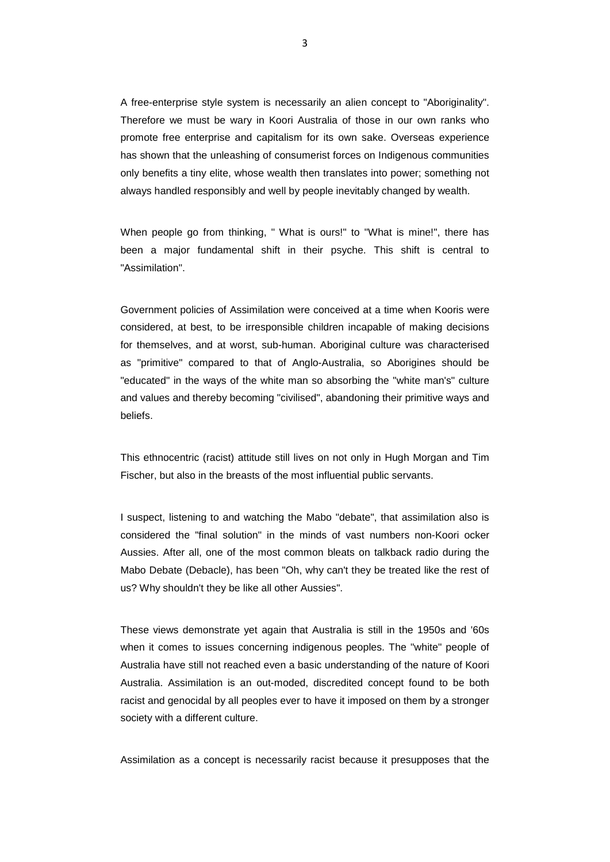A free-enterprise style system is necessarily an alien concept to "Aboriginality". Therefore we must be wary in Koori Australia of those in our own ranks who promote free enterprise and capitalism for its own sake. Overseas experience has shown that the unleashing of consumerist forces on Indigenous communities only benefits a tiny elite, whose wealth then translates into power; something not always handled responsibly and well by people inevitably changed by wealth.

When people go from thinking, " What is ours!" to "What is mine!", there has been a major fundamental shift in their psyche. This shift is central to "Assimilation".

Government policies of Assimilation were conceived at a time when Kooris were considered, at best, to be irresponsible children incapable of making decisions for themselves, and at worst, sub-human. Aboriginal culture was characterised as "primitive" compared to that of Anglo-Australia, so Aborigines should be "educated" in the ways of the white man so absorbing the "white man's" culture and values and thereby becoming "civilised", abandoning their primitive ways and beliefs.

This ethnocentric (racist) attitude still lives on not only in Hugh Morgan and Tim Fischer, but also in the breasts of the most influential public servants.

I suspect, listening to and watching the Mabo "debate", that assimilation also is considered the "final solution" in the minds of vast numbers non-Koori ocker Aussies. After all, one of the most common bleats on talkback radio during the Mabo Debate (Debacle), has been "Oh, why can't they be treated like the rest of us? Why shouldn't they be like all other Aussies".

These views demonstrate yet again that Australia is still in the 1950s and '60s when it comes to issues concerning indigenous peoples. The "white" people of Australia have still not reached even a basic understanding of the nature of Koori Australia. Assimilation is an out-moded, discredited concept found to be both racist and genocidal by all peoples ever to have it imposed on them by a stronger society with a different culture.

Assimilation as a concept is necessarily racist because it presupposes that the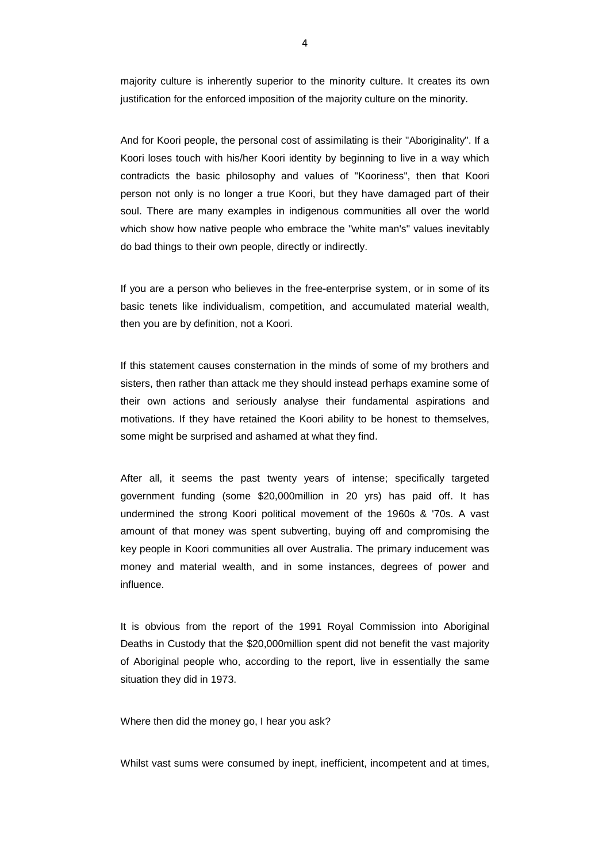majority culture is inherently superior to the minority culture. It creates its own justification for the enforced imposition of the majority culture on the minority.

And for Koori people, the personal cost of assimilating is their "Aboriginality". If a Koori loses touch with his/her Koori identity by beginning to live in a way which contradicts the basic philosophy and values of "Kooriness", then that Koori person not only is no longer a true Koori, but they have damaged part of their soul. There are many examples in indigenous communities all over the world which show how native people who embrace the "white man's" values inevitably do bad things to their own people, directly or indirectly.

If you are a person who believes in the free-enterprise system, or in some of its basic tenets like individualism, competition, and accumulated material wealth, then you are by definition, not a Koori.

If this statement causes consternation in the minds of some of my brothers and sisters, then rather than attack me they should instead perhaps examine some of their own actions and seriously analyse their fundamental aspirations and motivations. If they have retained the Koori ability to be honest to themselves, some might be surprised and ashamed at what they find.

After all, it seems the past twenty years of intense; specifically targeted government funding (some \$20,000million in 20 yrs) has paid off. It has undermined the strong Koori political movement of the 1960s & '70s. A vast amount of that money was spent subverting, buying off and compromising the key people in Koori communities all over Australia. The primary inducement was money and material wealth, and in some instances, degrees of power and influence.

It is obvious from the report of the 1991 Royal Commission into Aboriginal Deaths in Custody that the \$20,000million spent did not benefit the vast majority of Aboriginal people who, according to the report, live in essentially the same situation they did in 1973.

Where then did the money go, I hear you ask?

Whilst vast sums were consumed by inept, inefficient, incompetent and at times,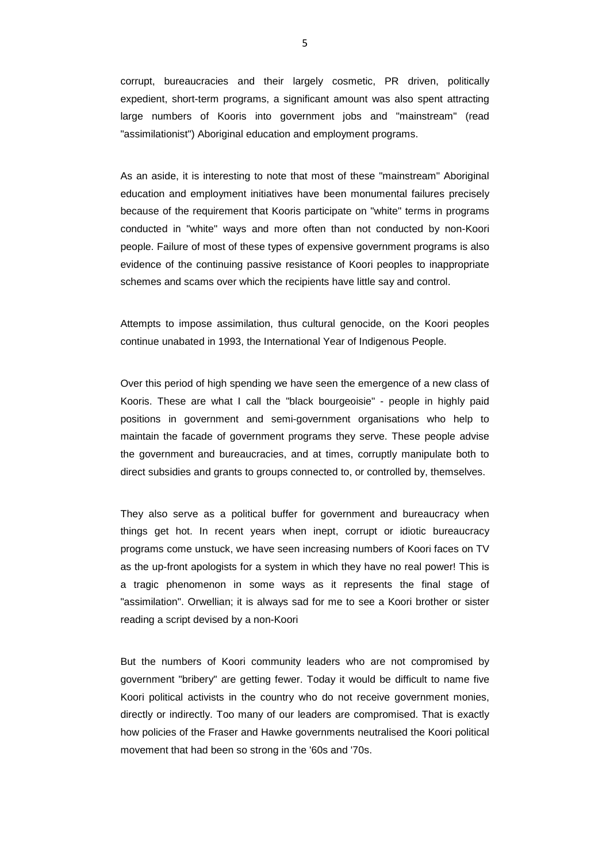corrupt, bureaucracies and their largely cosmetic, PR driven, politically expedient, short-term programs, a significant amount was also spent attracting large numbers of Kooris into government jobs and "mainstream" (read "assimilationist") Aboriginal education and employment programs.

As an aside, it is interesting to note that most of these "mainstream" Aboriginal education and employment initiatives have been monumental failures precisely because of the requirement that Kooris participate on "white" terms in programs conducted in "white" ways and more often than not conducted by non-Koori people. Failure of most of these types of expensive government programs is also evidence of the continuing passive resistance of Koori peoples to inappropriate schemes and scams over which the recipients have little say and control.

Attempts to impose assimilation, thus cultural genocide, on the Koori peoples continue unabated in 1993, the International Year of Indigenous People.

Over this period of high spending we have seen the emergence of a new class of Kooris. These are what I call the "black bourgeoisie" - people in highly paid positions in government and semi-government organisations who help to maintain the facade of government programs they serve. These people advise the government and bureaucracies, and at times, corruptly manipulate both to direct subsidies and grants to groups connected to, or controlled by, themselves.

They also serve as a political buffer for government and bureaucracy when things get hot. In recent years when inept, corrupt or idiotic bureaucracy programs come unstuck, we have seen increasing numbers of Koori faces on TV as the up-front apologists for a system in which they have no real power! This is a tragic phenomenon in some ways as it represents the final stage of "assimilation". Orwellian; it is always sad for me to see a Koori brother or sister reading a script devised by a non-Koori

But the numbers of Koori community leaders who are not compromised by government "bribery" are getting fewer. Today it would be difficult to name five Koori political activists in the country who do not receive government monies, directly or indirectly. Too many of our leaders are compromised. That is exactly how policies of the Fraser and Hawke governments neutralised the Koori political movement that had been so strong in the '60s and '70s.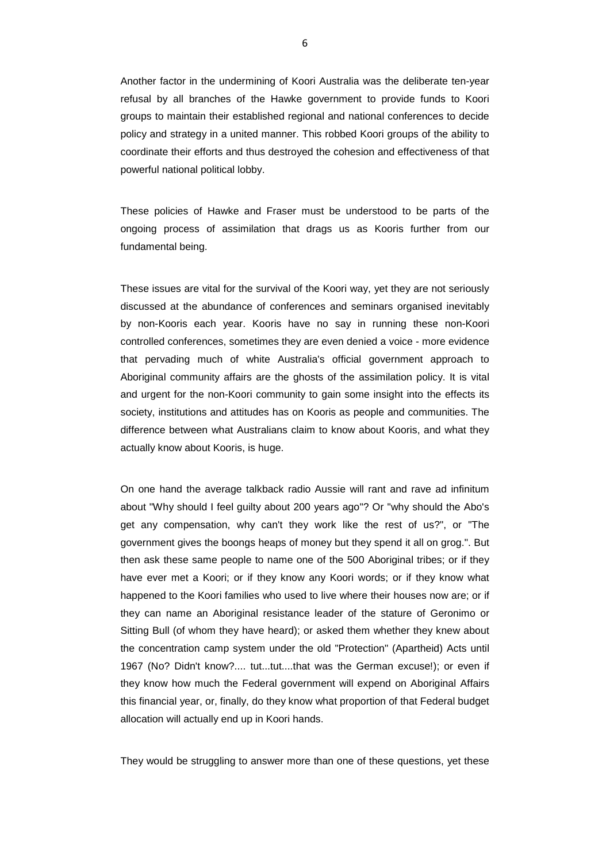Another factor in the undermining of Koori Australia was the deliberate ten-year refusal by all branches of the Hawke government to provide funds to Koori groups to maintain their established regional and national conferences to decide policy and strategy in a united manner. This robbed Koori groups of the ability to coordinate their efforts and thus destroyed the cohesion and effectiveness of that powerful national political lobby.

These policies of Hawke and Fraser must be understood to be parts of the ongoing process of assimilation that drags us as Kooris further from our fundamental being.

These issues are vital for the survival of the Koori way, yet they are not seriously discussed at the abundance of conferences and seminars organised inevitably by non-Kooris each year. Kooris have no say in running these non-Koori controlled conferences, sometimes they are even denied a voice - more evidence that pervading much of white Australia's official government approach to Aboriginal community affairs are the ghosts of the assimilation policy. It is vital and urgent for the non-Koori community to gain some insight into the effects its society, institutions and attitudes has on Kooris as people and communities. The difference between what Australians claim to know about Kooris, and what they actually know about Kooris, is huge.

On one hand the average talkback radio Aussie will rant and rave ad infinitum about "Why should I feel guilty about 200 years ago"? Or "why should the Abo's get any compensation, why can't they work like the rest of us?", or "The government gives the boongs heaps of money but they spend it all on grog.". But then ask these same people to name one of the 500 Aboriginal tribes; or if they have ever met a Koori; or if they know any Koori words; or if they know what happened to the Koori families who used to live where their houses now are; or if they can name an Aboriginal resistance leader of the stature of Geronimo or Sitting Bull (of whom they have heard); or asked them whether they knew about the concentration camp system under the old "Protection" (Apartheid) Acts until 1967 (No? Didn't know?.... tut...tut....that was the German excuse!); or even if they know how much the Federal government will expend on Aboriginal Affairs this financial year, or, finally, do they know what proportion of that Federal budget allocation will actually end up in Koori hands.

They would be struggling to answer more than one of these questions, yet these